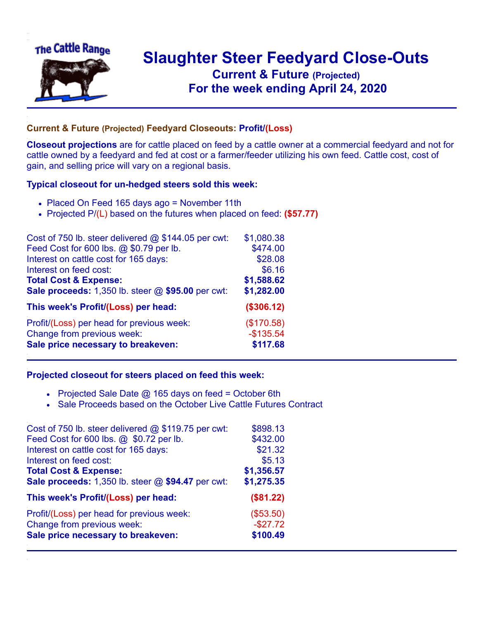

## **Slaughter Steer Feedyard Close-Outs Current & Future (Projected)** .**For the week ending April 24, 2020**

## **Current & Future (Projected) Feedyard Closeouts: Profit/(Loss)**

**Closeout projections** are for cattle placed on feed by a cattle owner at a commercial feedyard and not for cattle owned by a feedyard and fed at cost or a farmer/feeder utilizing his own feed. Cattle cost, cost of gain, and selling price will vary on a regional basis.

## **Typical closeout for un-hedged steers sold this week:**

- Placed On Feed 165 days ago = November 11th
- Projected P/(L) based on the futures when placed on feed: **(\$57.77)**

| Cost of 750 lb. steer delivered $@$ \$144.05 per cwt: | \$1,080.38 |
|-------------------------------------------------------|------------|
| Feed Cost for 600 lbs. @ \$0.79 per lb.               | \$474.00   |
| Interest on cattle cost for 165 days:                 | \$28.08    |
| Interest on feed cost:                                | \$6.16     |
| <b>Total Cost &amp; Expense:</b>                      | \$1,588.62 |
| Sale proceeds: 1,350 lb. steer @ \$95.00 per cwt:     | \$1,282.00 |
| This week's Profit/(Loss) per head:                   | (\$306.12) |
| Profit/(Loss) per head for previous week:             | (\$170.58) |
| Change from previous week:                            | $-$135.54$ |
| Sale price necessary to breakeven:                    | \$117.68   |

## **Projected closeout for steers placed on feed this week:**

- Projected Sale Date  $@$  165 days on feed = October 6th
- Sale Proceeds based on the October Live Cattle Futures Contract

| Cost of 750 lb. steer delivered @ \$119.75 per cwt: | \$898.13   |
|-----------------------------------------------------|------------|
| Feed Cost for 600 lbs. @ \$0.72 per lb.             | \$432.00   |
| Interest on cattle cost for 165 days:               | \$21.32    |
| Interest on feed cost:                              | \$5.13     |
| <b>Total Cost &amp; Expense:</b>                    | \$1,356.57 |
| Sale proceeds: 1,350 lb. steer @ \$94.47 per cwt:   | \$1,275.35 |
| This week's Profit/(Loss) per head:                 | (\$81.22)  |
| Profit/(Loss) per head for previous week:           | (\$53.50)  |
| Change from previous week:                          | $-$27.72$  |
| Sale price necessary to breakeven:                  | \$100.49   |
|                                                     |            |